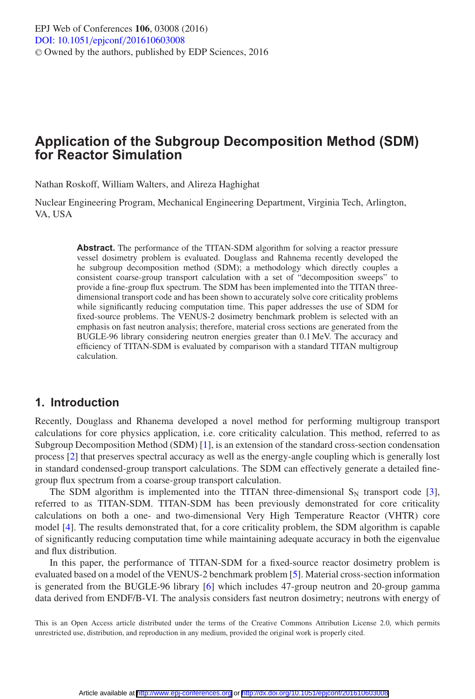# **Application of the Subgroup Decomposition Method (SDM) for Reactor Simulation**

Nathan Roskoff, William Walters, and Alireza Haghighat

Nuclear Engineering Program, Mechanical Engineering Department, Virginia Tech, Arlington, VA, USA

> **Abstract.** The performance of the TITAN-SDM algorithm for solving a reactor pressure vessel dosimetry problem is evaluated. Douglass and Rahnema recently developed the he subgroup decomposition method (SDM); a methodology which directly couples a consistent coarse-group transport calculation with a set of "decomposition sweeps" to provide a fine-group flux spectrum. The SDM has been implemented into the TITAN threedimensional transport code and has been shown to accurately solve core criticality problems while significantly reducing computation time. This paper addresses the use of SDM for fixed-source problems. The VENUS-2 dosimetry benchmark problem is selected with an emphasis on fast neutron analysis; therefore, material cross sections are generated from the BUGLE-96 library considering neutron energies greater than 0.1 MeV. The accuracy and efficiency of TITAN-SDM is evaluated by comparison with a standard TITAN multigroup calculation.

# **1. Introduction**

Recently, Douglass and Rhanema developed a novel method for performing multigroup transport calculations for core physics application, i.e. core criticality calculation. This method, referred to as Subgroup Decomposition Method (SDM) [\[1](#page-7-0)], is an extension of the standard cross-section condensation process [\[2](#page-7-1)] that preserves spectral accuracy as well as the energy-angle coupling which is generally lost in standard condensed-group transport calculations. The SDM can effectively generate a detailed finegroup flux spectrum from a coarse-group transport calculation.

The SDM algorithm is implemented into the TITAN three-dimensional  $S_N$  transport code [\[3\]](#page-7-2), referred to as TITAN-SDM. TITAN-SDM has been previously demonstrated for core criticality calculations on both a one- and two-dimensional Very High Temperature Reactor (VHTR) core model [\[4\]](#page-7-3). The results demonstrated that, for a core criticality problem, the SDM algorithm is capable of significantly reducing computation time while maintaining adequate accuracy in both the eigenvalue and flux distribution.

In this paper, the performance of TITAN-SDM for a fixed-source reactor dosimetry problem is evaluated based on a model of the VENUS-2 benchmark problem [\[5](#page-7-4)]. Material cross-section information is generated from the BUGLE-96 library [\[6](#page-7-5)] which includes 47-group neutron and 20-group gamma data derived from ENDF/B-VI. The analysis considers fast neutron dosimetry; neutrons with energy of

This is an Open Access article distributed under the terms of the Creative Commons Attribution License 2.0, which permits unrestricted use, distribution, and reproduction in any medium, provided the original work is properly cited.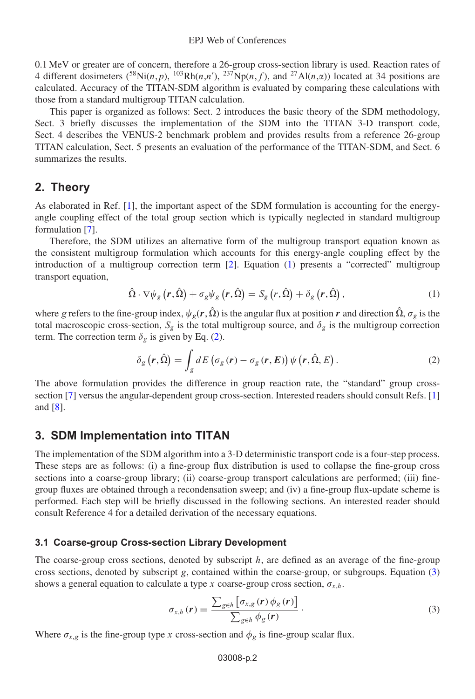0.1 MeV or greater are of concern, therefore a 26-group cross-section library is used. Reaction rates of 4 different dosimeters  $(^{58}\text{Ni}(n, p)$ ,  $^{103}\text{Rh}(n, n')$ ,  $^{237}\text{Np}(n, f)$ , and  $^{27}\text{Al}(n, \alpha)$ ) located at 34 positions are calculated. Accuracy of the TITAN-SDM algorithm is evaluated by comparing these calculations with those from a standard multigroup TITAN calculation.

This paper is organized as follows: Sect. 2 introduces the basic theory of the SDM methodology, Sect. 3 briefly discusses the implementation of the SDM into the TITAN 3-D transport code, Sect. 4 describes the VENUS-2 benchmark problem and provides results from a reference 26-group TITAN calculation, Sect. 5 presents an evaluation of the performance of the TITAN-SDM, and Sect. 6 summarizes the results.

# **2. Theory**

As elaborated in Ref. [\[1\]](#page-7-0), the important aspect of the SDM formulation is accounting for the energyangle coupling effect of the total group section which is typically neglected in standard multigroup formulation [\[7](#page-7-6)].

Therefore, the SDM utilizes an alternative form of the multigroup transport equation known as the consistent multigroup formulation which accounts for this energy-angle coupling effect by the introduction of a multigroup correction term [\[2](#page-7-1)]. Equation [\(1\)](#page-1-0) presents a "corrected" multigroup transport equation,

$$
\hat{\Omega} \cdot \nabla \psi_{g} \left( r, \hat{\Omega} \right) + \sigma_{g} \psi_{g} \left( r, \hat{\Omega} \right) = S_{g} \left( r, \hat{\Omega} \right) + \delta_{g} \left( r, \hat{\Omega} \right), \tag{1}
$$

<span id="page-1-0"></span>where g refers to the fine-group index,  $\psi_g(r, \hat{\Omega})$  is the angular flux at position r and direction  $\hat{\Omega}$ ,  $\sigma_g$  is the total macroscopic cross-section,  $S_g$  is the total multigroup source, and  $\delta_g$  is the multigroup correction term. The correction term  $\delta_{\varphi}$  is given by Eq. [\(2\)](#page-1-1).

$$
\delta_{g}\left(\boldsymbol{r},\hat{\Omega}\right)=\int_{g}dE\left(\sigma_{g}\left(\boldsymbol{r}\right)-\sigma_{g}\left(\boldsymbol{r},E\right)\right)\psi\left(\boldsymbol{r},\hat{\Omega},E\right).
$$
\n(2)

<span id="page-1-1"></span>The above formulation provides the difference in group reaction rate, the "standard" group cross-section [\[7](#page-7-6)] versus the angular-dependent group cross-section. Interested readers should consult Refs. [\[1](#page-7-0)] and [\[8\]](#page-7-7).

# **3. SDM Implementation into TITAN**

The implementation of the SDM algorithm into a 3-D deterministic transport code is a four-step process. These steps are as follows: (i) a fine-group flux distribution is used to collapse the fine-group cross sections into a coarse-group library; (ii) coarse-group transport calculations are performed; (iii) finegroup fluxes are obtained through a recondensation sweep; and (iv) a fine-group flux-update scheme is performed. Each step will be briefly discussed in the following sections. An interested reader should consult Reference 4 for a detailed derivation of the necessary equations.

### **3.1 Coarse-group Cross-section Library Development**

The coarse-group cross sections, denoted by subscript  $h$ , are defined as an average of the fine-group cross sections, denoted by subscript g, contained within the coarse-group, or subgroups. Equation [\(3\)](#page-1-2) shows a general equation to calculate a type x coarse-group cross section,  $\sigma_{x,h}$ .

$$
\sigma_{x,h}(\mathbf{r}) = \frac{\sum_{g \in h} \left[ \sigma_{x,g}(\mathbf{r}) \phi_g(\mathbf{r}) \right]}{\sum_{g \in h} \phi_g(\mathbf{r})} \,. \tag{3}
$$

<span id="page-1-2"></span>Where  $\sigma_{x,g}$  is the fine-group type x cross-section and  $\phi_g$  is fine-group scalar flux.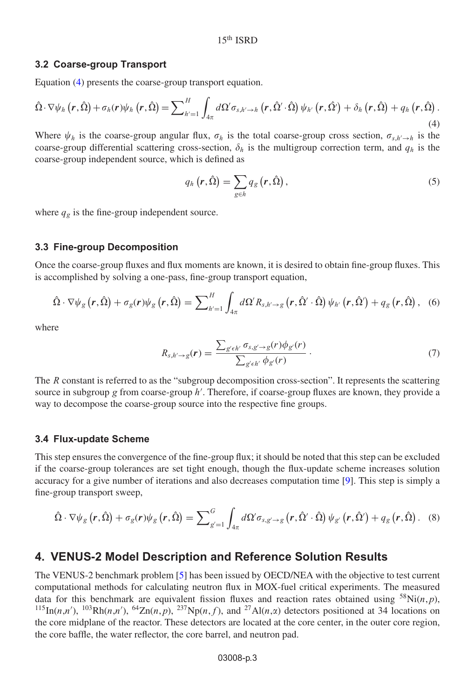#### **3.2 Coarse-group Transport**

Equation [\(4\)](#page-2-0) presents the coarse-group transport equation.

<span id="page-2-0"></span>
$$
\hat{\Omega}\cdot\nabla\psi_h\left(r,\hat{\Omega}\right)+\sigma_h(r)\psi_h\left(r,\hat{\Omega}\right)=\sum\nolimits_{h'=1}^H\int_{4\pi}d\Omega'\sigma_{s,h'\to h}\left(r,\hat{\Omega}'\cdot\hat{\Omega}\right)\psi_{h'}\left(r,\hat{\Omega}'\right)+\delta_h\left(r,\hat{\Omega}\right)+q_h\left(r,\hat{\Omega}\right).
$$
\n(4)

Where  $\psi_h$  is the coarse-group angular flux,  $\sigma_h$  is the total coarse-group cross section,  $\sigma_{s,h'\to h}$  is the coarse-group differential scattering cross-section,  $\delta_h$  is the multigroup correction term, and  $q_h$  is the coarse-group independent source, which is defined as

$$
q_h\left(r,\hat{\Omega}\right) = \sum_{g \in h} q_g\left(r,\hat{\Omega}\right),\tag{5}
$$

where  $q_g$  is the fine-group independent source.

#### **3.3 Fine-group Decomposition**

Once the coarse-group fluxes and flux moments are known, it is desired to obtain fine-group fluxes. This is accomplished by solving a one-pass, fine-group transport equation,

$$
\hat{\Omega}\cdot\nabla\psi_{g}\left(\boldsymbol{r},\hat{\Omega}\right)+\sigma_{g}(\boldsymbol{r})\psi_{g}\left(\boldsymbol{r},\hat{\Omega}\right)=\sum\nolimits_{h'=1}^{H}\int_{4\pi}d\Omega' R_{s,h'\to g}\left(\boldsymbol{r},\hat{\Omega}'\cdot\hat{\Omega}\right)\psi_{h'}\left(\boldsymbol{r},\hat{\Omega}'\right)+q_{g}\left(\boldsymbol{r},\hat{\Omega}\right),\quad(6)
$$

where

$$
R_{s,h'\to g}(r) = \frac{\sum_{g' \in h'} \sigma_{s,g'\to g}(r) \phi_{g'}(r)}{\sum_{g' \in h'} \phi_{g'}(r)} \,. \tag{7}
$$

The R constant is referred to as the "subgroup decomposition cross-section". It represents the scattering source in subgroup g from coarse-group h'. Therefore, if coarse-group fluxes are known, they provide a way to decompose the coarse-group source into the respective fine groups.

#### **3.4 Flux-update Scheme**

This step ensures the convergence of the fine-group flux; it should be noted that this step can be excluded if the coarse-group tolerances are set tight enough, though the flux-update scheme increases solution accuracy for a give number of iterations and also decreases computation time [\[9\]](#page-7-8). This step is simply a fine-group transport sweep,

$$
\hat{\Omega} \cdot \nabla \psi_{g} \left( \mathbf{r}, \hat{\Omega} \right) + \sigma_{g}(\mathbf{r}) \psi_{g} \left( \mathbf{r}, \hat{\Omega} \right) = \sum\nolimits_{g'=1}^{G} \int_{4\pi} d\Omega' \sigma_{s, g' \to g} \left( \mathbf{r}, \hat{\Omega}' \cdot \hat{\Omega} \right) \psi_{g'} \left( \mathbf{r}, \hat{\Omega}' \right) + q_{g} \left( \mathbf{r}, \hat{\Omega} \right). \tag{8}
$$

### **4. VENUS-2 Model Description and Reference Solution Results**

The VENUS-2 benchmark problem [\[5\]](#page-7-4) has been issued by OECD/NEA with the objective to test current computational methods for calculating neutron flux in MOX-fuel critical experiments. The measured data for this benchmark are equivalent fission fluxes and reaction rates obtained using  ${}^{58}Ni(n,p)$ , <sup>115</sup>In(n,n'), <sup>103</sup>Rh(n,n'), <sup>64</sup>Zn(n,p), <sup>237</sup>Np(n,f), and <sup>27</sup>Al(n,x) detectors positioned at 34 locations on the core midplane of the reactor. These detectors are located at the core center, in the outer core region, the core baffle, the water reflector, the core barrel, and neutron pad.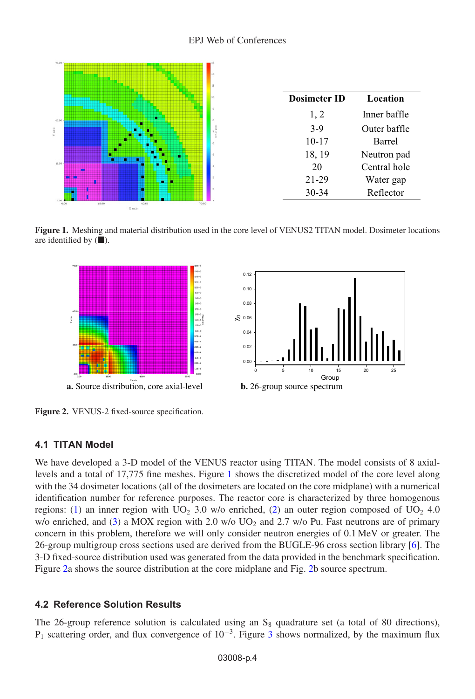<span id="page-3-0"></span>

**Dosimeter ID Location**  1, 2 Inner baffle 3-9 Outer baffle 10-17 Barrel 18, 19 Neutron pad 20 Central hole 21-29 Water gap 30-34 Reflector

<span id="page-3-1"></span>**Figure 1.** Meshing and material distribution used in the core level of VENUS2 TITAN model. Dosimeter locations are identified by  $(\blacksquare)$ .





**Figure 2.** VENUS-2 fixed-source specification.

# **4.1 TITAN Model**

We have developed a 3-D model of the VENUS reactor using TITAN. The model consists of 8 axiallevels and a total of 17,775 fine meshes. Figure [1](#page-3-0) shows the discretized model of the core level along with the 34 dosimeter locations (all of the dosimeters are located on the core midplane) with a numerical identification number for reference purposes. The reactor core is characterized by three homogenous regions: [\(1\)](#page-1-0) an inner region with  $UO<sub>2</sub>$  3.0 w/o enriched, [\(2\)](#page-1-1) an outer region composed of  $UO<sub>2</sub>$  4.0 w/o enriched, and [\(3\)](#page-1-2) a MOX region with 2.0 w/o  $UO<sub>2</sub>$  and 2.7 w/o Pu. Fast neutrons are of primary concern in this problem, therefore we will only consider neutron energies of 0.1 MeV or greater. The 26-group multigroup cross sections used are derived from the BUGLE-96 cross section library [\[6\]](#page-7-5). The 3-D fixed-source distribution used was generated from the data provided in the benchmark specification. Figure [2a](#page-3-1) shows the source distribution at the core midplane and Fig. [2b](#page-3-1) source spectrum.

# **4.2 Reference Solution Results**

The 26-group reference solution is calculated using an  $S_8$  quadrature set (a total of 80 directions),  $P_1$  scattering order, and flux convergence of  $10^{-3}$  $10^{-3}$  $10^{-3}$ . Figure 3 shows normalized, by the maximum flux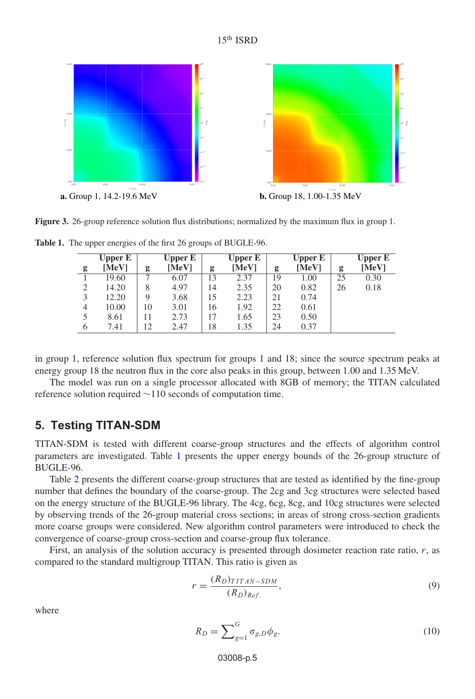

<span id="page-4-0"></span>

**Figure 3.** 26-group reference solution flux distributions; normalized by the maximum flux in group 1.

|                | Upper E |    | Upper E |    | Upper E |    | <b>Upper E</b> |    | Upper E |
|----------------|---------|----|---------|----|---------|----|----------------|----|---------|
| g              | [MeV]   | g  | [MeV]   | g  | [MeV]   | g  | [MeV]          | g  | [MeV]   |
|                | 19.60   |    | 6.07    | 13 | 2.37    | 19 | 1.00           | 25 | 0.30    |
| $\overline{2}$ | 14.20   | 8  | 4.97    | 14 | 2.35    | 20 | 0.82           | 26 | 0.18    |
| 3              | 12.20   | 9  | 3.68    | 15 | 2.23    | 21 | 0.74           |    |         |
| $\overline{4}$ | 10.00   | 10 | 3.01    | 16 | 1.92    | 22 | 0.61           |    |         |
| 5              | 8.61    | 11 | 2.73    | 17 | 1.65    | 23 | 0.50           |    |         |
| 6              | 7.41    | 12 | 2.47    | 18 | 1.35    | 24 | 0.37           |    |         |

<span id="page-4-1"></span>**Table 1.** The upper energies of the first 26 groups of BUGLE-96.

in group 1, reference solution flux spectrum for groups 1 and 18; since the source spectrum peaks at energy group 18 the neutron flux in the core also peaks in this group, between 1.00 and 1.35 MeV.

The model was run on a single processor allocated with 8GB of memory; the TITAN calculated reference solution required ∼110 seconds of computation time.

# **5. Testing TITAN-SDM**

TITAN-SDM is tested with different coarse-group structures and the effects of algorithm control parameters are investigated. Table [1](#page-4-1) presents the upper energy bounds of the 26-group structure of BUGLE-96.

Table [2](#page-5-0) presents the different coarse-group structures that are tested as identified by the fine-group number that defines the boundary of the coarse-group. The 2cg and 3cg structures were selected based on the energy structure of the BUGLE-96 library. The 4cg, 6cg, 8cg, and 10cg structures were selected by observing trends of the 26-group material cross sections; in areas of strong cross-section gradients more coarse groups were considered. New algorithm control parameters were introduced to check the convergence of coarse-group cross-section and coarse-group flux tolerance.

First, an analysis of the solution accuracy is presented through dosimeter reaction rate ratio,  $r$ , as compared to the standard multigroup TITAN. This ratio is given as

$$
r = \frac{(R_D)_{TITAN-SDM}}{(R_D)_{Ref.}},
$$
\n(9)

where

$$
R_D = \sum_{g=1}^{G} \sigma_{g,D} \phi_g. \tag{10}
$$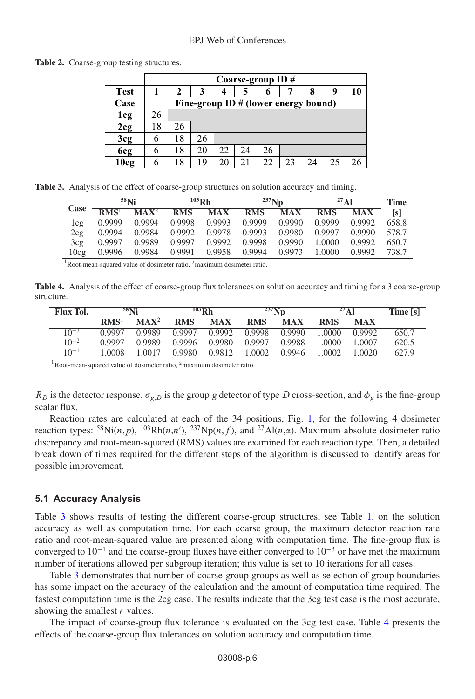#### EPJ Web of Conferences

|             |    | Coarse-group ID $#$                  |    |    |    |    |    |  |   |    |
|-------------|----|--------------------------------------|----|----|----|----|----|--|---|----|
| <b>Test</b> |    | 2                                    | 3  | 4  | 5  |    |    |  | 9 | 10 |
| Case        |    | Fine-group ID # (lower energy bound) |    |    |    |    |    |  |   |    |
| 1cg         | 26 |                                      |    |    |    |    |    |  |   |    |
| 2cg         | 18 | 26                                   |    |    |    |    |    |  |   |    |
| 3cg         |    | 18                                   | 26 |    |    |    |    |  |   |    |
| 6cg         | 6  | 18                                   | 20 | 22 | 24 | 26 |    |  |   |    |
| 10cg        |    | 18                                   | 19 | 20 | 21 | 22 | 23 |  |   |    |

<span id="page-5-0"></span>Table 2. Coarse-group testing structures.

<span id="page-5-1"></span>

|  |  |  |  |  |  |  |  |  | Table 3. Analysis of the effect of coarse-group structures on solution accuracy and timing. |
|--|--|--|--|--|--|--|--|--|---------------------------------------------------------------------------------------------|
|--|--|--|--|--|--|--|--|--|---------------------------------------------------------------------------------------------|

|                  |                                      | 58 <sub>Ni</sub>            |            | $103$ Rh   |            | $^{237}$ Np |            | $27 \mathbf{A}$ | Time  |
|------------------|--------------------------------------|-----------------------------|------------|------------|------------|-------------|------------|-----------------|-------|
| <b>Case</b>      | $\overline{\text{RMS}}$ <sup>1</sup> | $\overline{\mathbf{MAX}^2}$ | <b>RMS</b> | <b>MAX</b> | <b>RMS</b> | <b>MAX</b>  | <b>RMS</b> | <b>MAX</b>      | [s]   |
| l c g            | 0.9999                               | 0.9994                      | 0.9998     | 0.9993     | 0.9999     | 0.9990      | 0.9999     | 0.9992          | 658.8 |
| 2cg              | 0.9994                               | 0.9984                      | 0.9992     | 0.9978     | 0.9993     | 0.9980      | 0.9997     | 0.9990          | 578.7 |
| 3cg              | 0.9997                               | 0.9989                      | 0.9997     | 0.9992     | 0.9998     | 0.9990      | 1.0000     | 0.9992          | 650.7 |
| 10c <sub>g</sub> | 0.9996                               | 0.9984                      | 0.9991     | 0.9958     | 0.9994     | 0.9973      | 1.0000     | 0.9992          | 738.7 |

 $1$ Root-mean-squared value of dosimeter ratio,  $2$ maximum dosimeter ratio.

<span id="page-5-2"></span>**Table 4.** Analysis of the effect of coarse-group flux tolerances on solution accuracy and timing for a 3 coarse-group structure.

| <b>Flux Tol.</b> |                  | $58$ Ni          |            | $103$ Rh   |            | $237$ Nn   | $27 \mathbf{A}$ 1 |            | Time [s] |
|------------------|------------------|------------------|------------|------------|------------|------------|-------------------|------------|----------|
|                  | RMS <sup>1</sup> | $\mathbf{MAX}^2$ | <b>RMS</b> | <b>MAX</b> | <b>RMS</b> | <b>MAX</b> | <b>RMS</b>        | <b>MAX</b> |          |
| $10^{-3}$        | 0.9997           | 0.9989           | 0.9997     | 0.9992     | 0.9998     | 0.9990     | 1.0000            | 0.9992     | 650.7    |
| $10^{-2}$        | 0.9997           | 0.9989           | 0.9996     | 0.9980     | 0.9997     | 0.9988     | 1.0000            | 1.0007     | 620.5    |
| $10^{-1}$        | 1.0008           | 1 0017           | 0.9980     | 0.9812     | 1.0002     | 0.9946     | 1.0002            | 1.0020     | 627.9    |

<sup>1</sup>Root-mean-squared value of dosimeter ratio, <sup>2</sup>maximum dosimeter ratio.

 $R_D$  is the detector response,  $\sigma_{g,D}$  is the group g detector of type D cross-section, and  $\phi_g$  is the fine-group scalar flux.

Reaction rates are calculated at each of the 34 positions, Fig. [1,](#page-3-0) for the following 4 dosimeter reaction types: <sup>58</sup>Ni(*n*,*p*), <sup>103</sup>Rh(*n*,*n'*), <sup>237</sup>Np(*n*,*f*), and <sup>27</sup>Al(*n*, $\alpha$ ). Maximum absolute dosimeter ratio discrepancy and root-mean-squared (RMS) values are examined for each reaction type. Then, a detailed break down of times required for the different steps of the algorithm is discussed to identify areas for possible improvement.

### **5.1 Accuracy Analysis**

Table [3](#page-5-1) shows results of testing the different coarse-group structures, see Table [1,](#page-4-1) on the solution accuracy as well as computation time. For each coarse group, the maximum detector reaction rate ratio and root-mean-squared value are presented along with computation time. The fine-group flux is converged to  $10^{-1}$  and the coarse-group fluxes have either converged to  $10^{-3}$  or have met the maximum number of iterations allowed per subgroup iteration; this value is set to 10 iterations for all cases.

Table [3](#page-5-1) demonstrates that number of coarse-group groups as well as selection of group boundaries has some impact on the accuracy of the calculation and the amount of computation time required. The fastest computation time is the 2cg case. The results indicate that the 3cg test case is the most accurate, showing the smallest  $r$  values.

The impact of coarse-group flux tolerance is evaluated on the 3cg test case. Table [4](#page-5-2) presents the effects of the coarse-group flux tolerances on solution accuracy and computation time.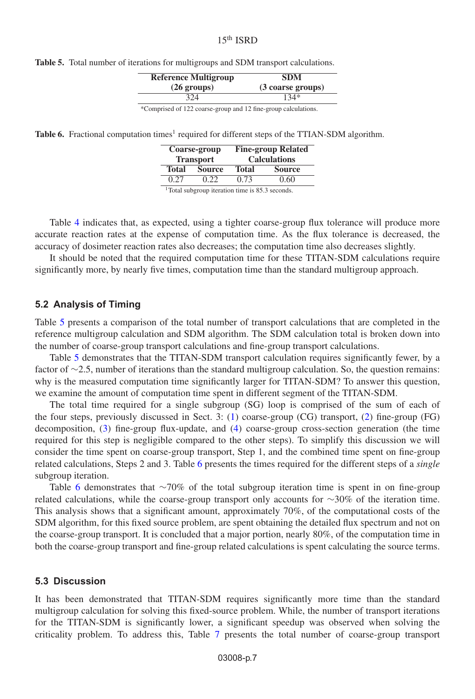| <b>Reference Multigroup</b> | <b>SDM</b>        |
|-----------------------------|-------------------|
| $(26 \text{ groups})$       | (3 coarse groups) |
| 324                         | $134*$            |

<span id="page-6-0"></span>**Table 5.** Total number of iterations for multigroups and SDM transport calculations.

\*Comprised of 122 coarse-group and 12 fine-group calculations.

<span id="page-6-1"></span>**Table 6.** Fractional computation times<sup>1</sup> required for different steps of the TTIAN-SDM algorithm.

|              | Coarse-group<br><b>Transport</b> | <b>Fine-group Related</b><br><b>Calculations</b> |               |  |  |  |
|--------------|----------------------------------|--------------------------------------------------|---------------|--|--|--|
| <b>Total</b> | <b>Source</b>                    | <b>Total</b>                                     | <b>Source</b> |  |  |  |
| 0.27         | 0.22                             | 0.73                                             | 0.60          |  |  |  |
| $1 - 1$      |                                  | .                                                |               |  |  |  |

<sup>1</sup>Total subgroup iteration time is 85.3 seconds.

Table [4](#page-5-2) indicates that, as expected, using a tighter coarse-group flux tolerance will produce more accurate reaction rates at the expense of computation time. As the flux tolerance is decreased, the accuracy of dosimeter reaction rates also decreases; the computation time also decreases slightly.

It should be noted that the required computation time for these TITAN-SDM calculations require significantly more, by nearly five times, computation time than the standard multigroup approach.

### **5.2 Analysis of Timing**

Table [5](#page-6-0) presents a comparison of the total number of transport calculations that are completed in the reference multigroup calculation and SDM algorithm. The SDM calculation total is broken down into the number of coarse-group transport calculations and fine-group transport calculations.

Table [5](#page-6-0) demonstrates that the TITAN-SDM transport calculation requires significantly fewer, by a factor of ∼2.5, number of iterations than the standard multigroup calculation. So, the question remains: why is the measured computation time significantly larger for TITAN-SDM? To answer this question, we examine the amount of computation time spent in different segment of the TITAN-SDM.

The total time required for a single subgroup (SG) loop is comprised of the sum of each of the four steps, previously discussed in Sect. 3: [\(1\)](#page-1-0) coarse-group (CG) transport, [\(2\)](#page-1-1) fine-group (FG) decomposition, [\(3\)](#page-1-2) fine-group flux-update, and [\(4\)](#page-2-0) coarse-group cross-section generation (the time required for this step is negligible compared to the other steps). To simplify this discussion we will consider the time spent on coarse-group transport, Step 1, and the combined time spent on fine-group related calculations, Steps 2 and 3. Table [6](#page-6-1) presents the times required for the different steps of a *single* subgroup iteration.

Table [6](#page-6-1) demonstrates that ∼70% of the total subgroup iteration time is spent in on fine-group related calculations, while the coarse-group transport only accounts for ∼30% of the iteration time. This analysis shows that a significant amount, approximately 70%, of the computational costs of the SDM algorithm, for this fixed source problem, are spent obtaining the detailed flux spectrum and not on the coarse-group transport. It is concluded that a major portion, nearly 80%, of the computation time in both the coarse-group transport and fine-group related calculations is spent calculating the source terms.

### **5.3 Discussion**

It has been demonstrated that TITAN-SDM requires significantly more time than the standard multigroup calculation for solving this fixed-source problem. While, the number of transport iterations for the TITAN-SDM is significantly lower, a significant speedup was observed when solving the criticality problem. To address this, Table [7](#page-7-9) presents the total number of coarse-group transport